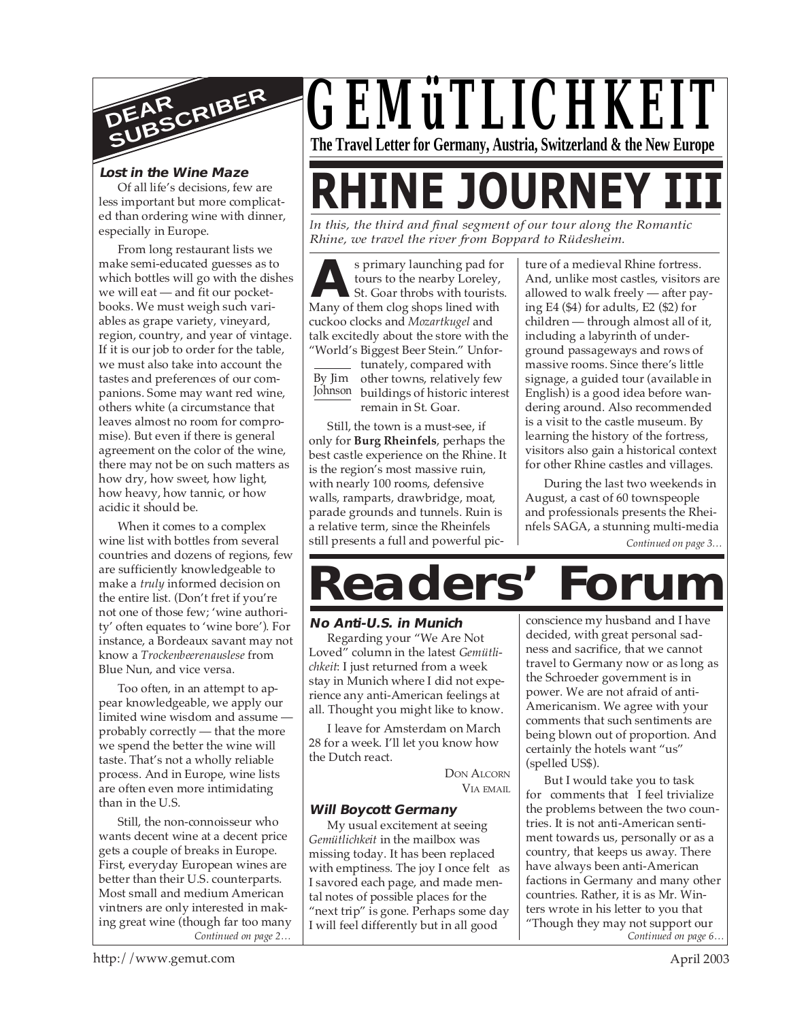

#### **Lost in the Wine Maze**

Of all life's decisions, few are less important but more complicated than ordering wine with dinner, especially in Europe.

From long restaurant lists we make semi-educated guesses as to which bottles will go with the dishes we will eat — and fit our pocketbooks. We must weigh such variables as grape variety, vineyard, region, country, and year of vintage. If it is our job to order for the table, we must also take into account the tastes and preferences of our companions. Some may want red wine, others white (a circumstance that leaves almost no room for compromise). But even if there is general agreement on the color of the wine, there may not be on such matters as how dry, how sweet, how light, how heavy, how tannic, or how acidic it should be.

When it comes to a complex wine list with bottles from several countries and dozens of regions, few are sufficiently knowledgeable to make a *truly* informed decision on the entire list. (Don't fret if you're not one of those few; 'wine authority' often equates to 'wine bore'). For instance, a Bordeaux savant may not know a *Trockenbeerenauslese* from Blue Nun, and vice versa.

Too often, in an attempt to appear knowledgeable, we apply our limited wine wisdom and assume probably correctly — that the more we spend the better the wine will taste. That's not a wholly reliable process. And in Europe, wine lists are often even more intimidating than in the U.S.

*Continued on page 2…* Still, the non-connoisseur who wants decent wine at a decent price gets a couple of breaks in Europe. First, everyday European wines are better than their U.S. counterparts. Most small and medium American vintners are only interested in making great wine (though far too many



**RHINE JOURNEY I** 

*In this, the third and final segment of our tour along the Romantic Rhine, we travel the river from Boppard to Rüdesheim.*

**A**<br>
Surface is primary launching pad for<br>
St. Goar throbs with tourist<br>
Many of them clog shops lined with s primary launching pad for tours to the nearby Loreley, St. Goar throbs with tourists. cuckoo clocks and *Mozartkugel* and talk excitedly about the store with the "World's Biggest Beer Stein." Unfor-

By Jim Johnson buildings of historic interest tunately, compared with other towns, relatively few remain in St. Goar.

Still, the town is a must-see, if only for **Burg Rheinfels**, perhaps the best castle experience on the Rhine. It is the region's most massive ruin, with nearly 100 rooms, defensive walls, ramparts, drawbridge, moat, parade grounds and tunnels. Ruin is a relative term, since the Rheinfels still presents a full and powerful picture of a medieval Rhine fortress. And, unlike most castles, visitors are allowed to walk freely — after paying E4 (\$4) for adults, E2 (\$2) for children — through almost all of it, including a labyrinth of underground passageways and rows of massive rooms. Since there's little signage, a guided tour (available in English) is a good idea before wandering around. Also recommended is a visit to the castle museum. By learning the history of the fortress, visitors also gain a historical context for other Rhine castles and villages.

During the last two weekends in August, a cast of 60 townspeople and professionals presents the Rheinfels SAGA, a stunning multi-media

*Continued on page 3…*

# **Readers' Forum**

#### **No Anti-U.S. in Munich**

Regarding your "We Are Not Loved" column in the latest *Gemütlichkeit*: I just returned from a week stay in Munich where I did not experience any anti-American feelings at all. Thought you might like to know.

I leave for Amsterdam on March 28 for a week. I'll let you know how the Dutch react.

DON ALCORN VIA EMAIL

#### **Will Boycott Germany**

My usual excitement at seeing *Gemütlichkeit* in the mailbox was missing today. It has been replaced with emptiness. The joy I once felt as I savored each page, and made mental notes of possible places for the "next trip" is gone. Perhaps some day I will feel differently but in all good

conscience my husband and I have decided, with great personal sadness and sacrifice, that we cannot travel to Germany now or as long as the Schroeder government is in power. We are not afraid of anti-Americanism. We agree with your comments that such sentiments are being blown out of proportion. And certainly the hotels want "us" (spelled US\$).

*Continued on page 6…* But I would take you to task for comments that I feel trivialize the problems between the two countries. It is not anti-American sentiment towards us, personally or as a country, that keeps us away. There have always been anti-American factions in Germany and many other countries. Rather, it is as Mr. Winters wrote in his letter to you that "Though they may not support our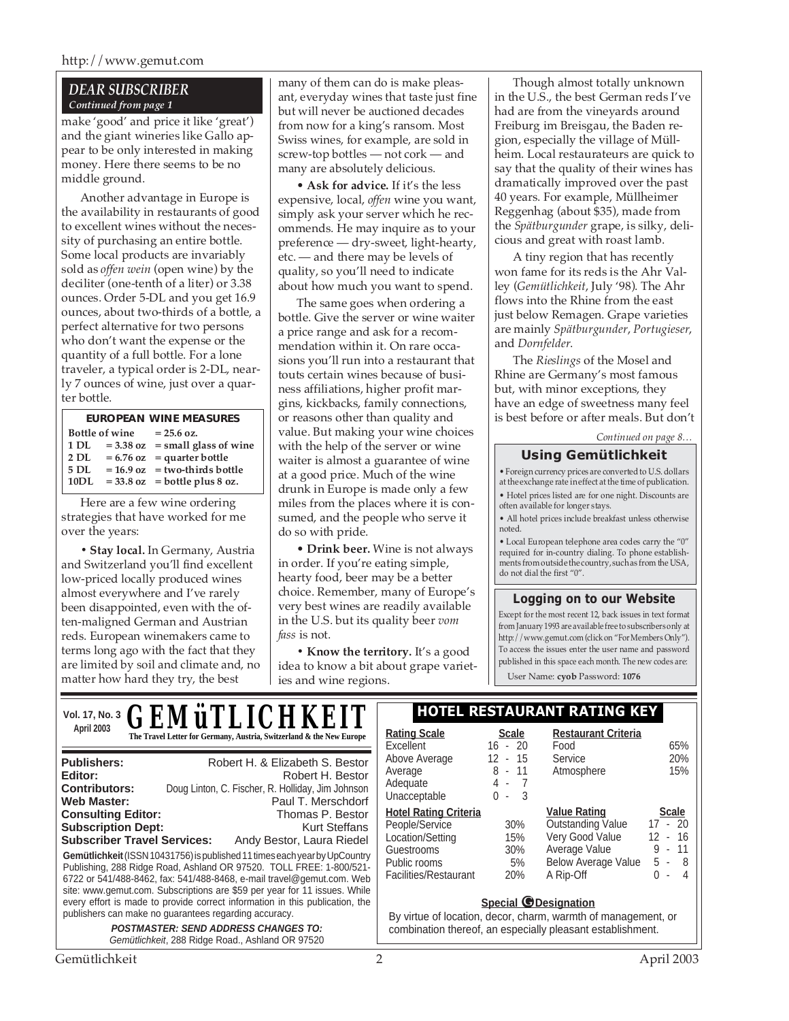#### http://www.gemut.com

#### *DEAR SUBSCRIBER Continued from page 1*

make 'good' and price it like 'great') and the giant wineries like Gallo appear to be only interested in making money. Here there seems to be no middle ground.

Another advantage in Europe is the availability in restaurants of good to excellent wines without the necessity of purchasing an entire bottle. Some local products are invariably sold as *offen wein* (open wine) by the deciliter (one-tenth of a liter) or 3.38 ounces. Order 5-DL and you get 16.9 ounces, about two-thirds of a bottle, a perfect alternative for two persons who don't want the expense or the quantity of a full bottle. For a lone traveler, a typical order is 2-DL, nearly 7 ounces of wine, just over a quarter bottle.

| <b>EUROPEAN WINE MEASURES</b> |  |                                     |  |  |  |  |
|-------------------------------|--|-------------------------------------|--|--|--|--|
| <b>Bottle of wine</b>         |  | $= 25.6$ oz.                        |  |  |  |  |
| 1 DL                          |  | $= 3.38$ oz $=$ small glass of wine |  |  |  |  |
| $2$ DL                        |  | $= 6.76$ oz = quarter bottle        |  |  |  |  |
| 5 DL                          |  | $= 16.9$ oz = two-thirds bottle     |  |  |  |  |
| 10DL                          |  | $= 33.8$ oz $=$ bottle plus 8 oz.   |  |  |  |  |

Here are a few wine ordering strategies that have worked for me over the years:

**• Stay local.** In Germany, Austria and Switzerland you'll find excellent low-priced locally produced wines almost everywhere and I've rarely been disappointed, even with the often-maligned German and Austrian reds. European winemakers came to terms long ago with the fact that they are limited by soil and climate and, no matter how hard they try, the best

many of them can do is make pleasant, everyday wines that taste just fine but will never be auctioned decades from now for a king's ransom. Most Swiss wines, for example, are sold in screw-top bottles — not cork — and many are absolutely delicious.

• **Ask for advice.** If it's the less expensive, local, *offen* wine you want, simply ask your server which he recommends. He may inquire as to your preference — dry-sweet, light-hearty, etc. — and there may be levels of quality, so you'll need to indicate about how much you want to spend.

The same goes when ordering a bottle. Give the server or wine waiter a price range and ask for a recommendation within it. On rare occasions you'll run into a restaurant that touts certain wines because of business affiliations, higher profit margins, kickbacks, family connections, or reasons other than quality and value. But making your wine choices with the help of the server or wine waiter is almost a guarantee of wine at a good price. Much of the wine drunk in Europe is made only a few miles from the places where it is consumed, and the people who serve it do so with pride.

• **Drink beer.** Wine is not always in order. If you're eating simple, hearty food, beer may be a better choice. Remember, many of Europe's very best wines are readily available in the U.S. but its quality beer *vom fass* is not.

**• Know the territory.** It's a good idea to know a bit about grape varieties and wine regions.

Though almost totally unknown in the U.S., the best German reds I've had are from the vineyards around Freiburg im Breisgau, the Baden region, especially the village of Müllheim. Local restaurateurs are quick to say that the quality of their wines has dramatically improved over the past 40 years. For example, Müllheimer Reggenhag (about \$35), made from the *Spätburgunder* grape, is silky, delicious and great with roast lamb.

A tiny region that has recently won fame for its reds is the Ahr Valley (*Gemütlichkeit*, July '98). The Ahr flows into the Rhine from the east just below Remagen. Grape varieties are mainly *Spätburgunder*, *Portugieser*, and *Dornfelder*.

The *Rieslings* of the Mosel and Rhine are Germany's most famous but, with minor exceptions, they have an edge of sweetness many feel is best before or after meals. But don't

*Continued on page 8…*

#### **Using Gemütlichkeit**

• Foreign currency prices are converted to U.S. dollars at the exchange rate in effect at the time of publication. • Hotel prices listed are for one night. Discounts are often available for longer stays.

• All hotel prices include breakfast unless otherwise noted.

• Local European telephone area codes carry the "0" required for in-country dialing. To phone establishments from outside the country, such as from the USA, do not dial the first "0".

#### **Logging on to our Website**

Except for the most recent 12, back issues in text format from January 1993 are available free to subscribers only at http://www.gemut.com (click on "For Members Only"). To access the issues enter the user name and password published in this space each month. The new codes are:

User Name: **cyob** Password: **1076**

|                                                                                                                                                                                                                                                                                                                                                                                              | Vol. 17, No. 3 $\bm{GEM}$ ü $\bm{TLLICHKEIT}$                                                                                  | <b>HOTEL RESTAURANT RATING KEY</b>                                                                                                                         |                                                          |                                                                                                                                |                                                                                 |
|----------------------------------------------------------------------------------------------------------------------------------------------------------------------------------------------------------------------------------------------------------------------------------------------------------------------------------------------------------------------------------------------|--------------------------------------------------------------------------------------------------------------------------------|------------------------------------------------------------------------------------------------------------------------------------------------------------|----------------------------------------------------------|--------------------------------------------------------------------------------------------------------------------------------|---------------------------------------------------------------------------------|
| April 2003                                                                                                                                                                                                                                                                                                                                                                                   | The Travel Letter for Germany, Austria, Switzerland & the New Europe                                                           | <b>Rating Scale</b><br>Excellent                                                                                                                           | <b>Scale</b><br>$16 - 20$                                | <b>Restaurant Criteria</b><br>Food                                                                                             | 65%                                                                             |
| <b>Publishers:</b><br>Editor:<br><b>Contributors:</b><br>Web Master:                                                                                                                                                                                                                                                                                                                         | Robert H. & Elizabeth S. Bestor<br>Robert H. Bestor<br>Doug Linton, C. Fischer, R. Holliday, Jim Johnson<br>Paul T. Merschdorf | Above Average<br>Average<br>Adequate<br>Unacceptable                                                                                                       | 12<br>- 15<br>8<br>- 11<br>$4 - 7$<br>0<br>- 3<br>$\sim$ | Service<br>Atmosphere                                                                                                          | 20%<br>15%                                                                      |
| Thomas P. Bestor<br><b>Consulting Editor:</b><br><b>Subscription Dept:</b><br>Kurt Steffans<br><b>Subscriber Travel Services:</b><br>Andy Bestor, Laura Riedel<br>Gemütlichkeit (ISSN 10431756) is published 11 times each year by UpCountry<br>Publishing, 288 Ridge Road, Ashland OR 97520. TOLL FREE: 1-800/521-<br>6722 or 541/488-8462, fax: 541/488-8468, e-mail travel@gemut.com. Web |                                                                                                                                | <b>Hotel Rating Criteria</b><br>People/Service<br>Location/Setting<br>Guestrooms<br>Public rooms<br>Facilities/Restaurant                                  | 30%<br>15%<br>30%<br>5%<br>20%                           | <b>Value Rating</b><br><b>Outstanding Value</b><br>Very Good Value<br>Average Value<br><b>Below Average Value</b><br>A Rip-Off | <b>Scale</b><br>$17 - 20$<br>- 16<br>12.<br>- 11<br>9<br>$-8$<br>5<br>$-4$<br>0 |
| site: www.gemut.com. Subscriptions are \$59 per year for 11 issues. While<br>every effort is made to provide correct information in this publication, the<br>publishers can make no guarantees regarding accuracy.<br><b>POSTMASTER: SEND ADDRESS CHANGES TO:</b><br>Gemütlichkeit, 288 Ridge Road., Ashland OR 97520                                                                        |                                                                                                                                | <b>Special @Designation</b><br>By virtue of location, decor, charm, warmth of management, or<br>combination thereof, an especially pleasant establishment. |                                                          |                                                                                                                                |                                                                                 |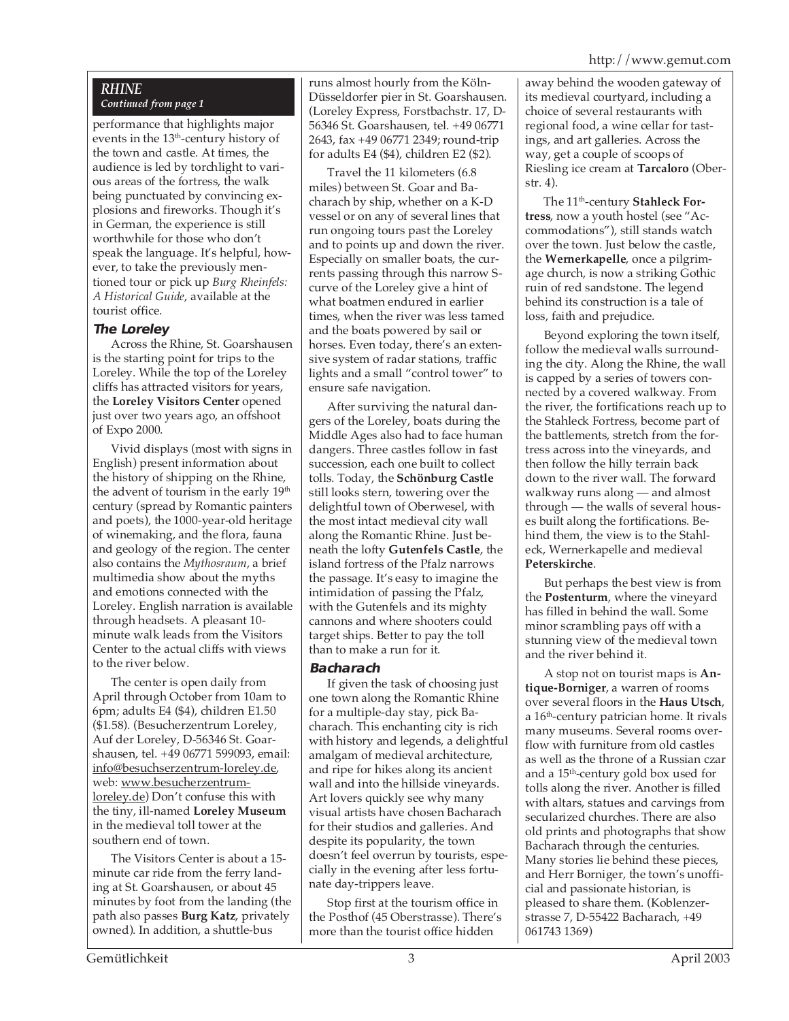#### *RHINE Continued from page 1*

performance that highlights major events in the  $13<sup>th</sup>$ -century history of the town and castle. At times, the audience is led by torchlight to various areas of the fortress, the walk being punctuated by convincing explosions and fireworks. Though it's in German, the experience is still worthwhile for those who don't speak the language. It's helpful, however, to take the previously mentioned tour or pick up *Burg Rheinfels: A Historical Guide*, available at the tourist office.

#### **The Loreley**

Across the Rhine, St. Goarshausen is the starting point for trips to the Loreley. While the top of the Loreley cliffs has attracted visitors for years, the **Loreley Visitors Center** opened just over two years ago, an offshoot of Expo 2000.

Vivid displays (most with signs in English) present information about the history of shipping on the Rhine, the advent of tourism in the early 19<sup>th</sup> century (spread by Romantic painters and poets), the 1000-year-old heritage of winemaking, and the flora, fauna and geology of the region. The center also contains the *Mythosraum*, a brief multimedia show about the myths and emotions connected with the Loreley. English narration is available through headsets. A pleasant 10 minute walk leads from the Visitors Center to the actual cliffs with views to the river below.

The center is open daily from April through October from 10am to 6pm; adults E4 (\$4), children E1.50 (\$1.58). (Besucherzentrum Loreley, Auf der Loreley, D-56346 St. Goarshausen, tel. +49 06771 599093, email: info@besuchserzentrum-loreley.de, web: www.besucherzentrumloreley.de) Don't confuse this with the tiny, ill-named **Loreley Museum** in the medieval toll tower at the southern end of town.

The Visitors Center is about a 15 minute car ride from the ferry landing at St. Goarshausen, or about 45 minutes by foot from the landing (the path also passes **Burg Katz**, privately owned). In addition, a shuttle-bus

runs almost hourly from the Köln-Düsseldorfer pier in St. Goarshausen. (Loreley Express, Forstbachstr. 17, D-56346 St. Goarshausen, tel. +49 06771 2643, fax +49 06771 2349; round-trip for adults E4 (\$4), children E2 (\$2).

Travel the 11 kilometers (6.8 miles) between St. Goar and Bacharach by ship, whether on a K-D vessel or on any of several lines that run ongoing tours past the Loreley and to points up and down the river. Especially on smaller boats, the currents passing through this narrow Scurve of the Loreley give a hint of what boatmen endured in earlier times, when the river was less tamed and the boats powered by sail or horses. Even today, there's an extensive system of radar stations, traffic lights and a small "control tower" to ensure safe navigation.

After surviving the natural dangers of the Loreley, boats during the Middle Ages also had to face human dangers. Three castles follow in fast succession, each one built to collect tolls. Today, the **Schönburg Castle** still looks stern, towering over the delightful town of Oberwesel, with the most intact medieval city wall along the Romantic Rhine. Just beneath the lofty **Gutenfels Castle**, the island fortress of the Pfalz narrows the passage. It's easy to imagine the intimidation of passing the Pfalz, with the Gutenfels and its mighty cannons and where shooters could target ships. Better to pay the toll than to make a run for it.

#### **Bacharach**

If given the task of choosing just one town along the Romantic Rhine for a multiple-day stay, pick Bacharach. This enchanting city is rich with history and legends, a delightful amalgam of medieval architecture, and ripe for hikes along its ancient wall and into the hillside vineyards. Art lovers quickly see why many visual artists have chosen Bacharach for their studios and galleries. And despite its popularity, the town doesn't feel overrun by tourists, especially in the evening after less fortunate day-trippers leave.

Stop first at the tourism office in the Posthof (45 Oberstrasse). There's more than the tourist office hidden

away behind the wooden gateway of its medieval courtyard, including a choice of several restaurants with regional food, a wine cellar for tastings, and art galleries. Across the way, get a couple of scoops of Riesling ice cream at **Tarcaloro** (Oberstr. 4).

The 11th-century **Stahleck Fortress**, now a youth hostel (see "Accommodations"), still stands watch over the town. Just below the castle, the **Wernerkapelle**, once a pilgrimage church, is now a striking Gothic ruin of red sandstone. The legend behind its construction is a tale of loss, faith and prejudice.

Beyond exploring the town itself, follow the medieval walls surrounding the city. Along the Rhine, the wall is capped by a series of towers connected by a covered walkway. From the river, the fortifications reach up to the Stahleck Fortress, become part of the battlements, stretch from the fortress across into the vineyards, and then follow the hilly terrain back down to the river wall. The forward walkway runs along — and almost through — the walls of several houses built along the fortifications. Behind them, the view is to the Stahleck, Wernerkapelle and medieval **Peterskirche**.

But perhaps the best view is from the **Postenturm**, where the vineyard has filled in behind the wall. Some minor scrambling pays off with a stunning view of the medieval town and the river behind it.

A stop not on tourist maps is **Antique-Borniger**, a warren of rooms over several floors in the **Haus Utsch**, a 16<sup>th</sup>-century patrician home. It rivals many museums. Several rooms overflow with furniture from old castles as well as the throne of a Russian czar and a 15th-century gold box used for tolls along the river. Another is filled with altars, statues and carvings from secularized churches. There are also old prints and photographs that show Bacharach through the centuries. Many stories lie behind these pieces, and Herr Borniger, the town's unofficial and passionate historian, is pleased to share them. (Koblenzerstrasse 7, D-55422 Bacharach, +49 061743 1369)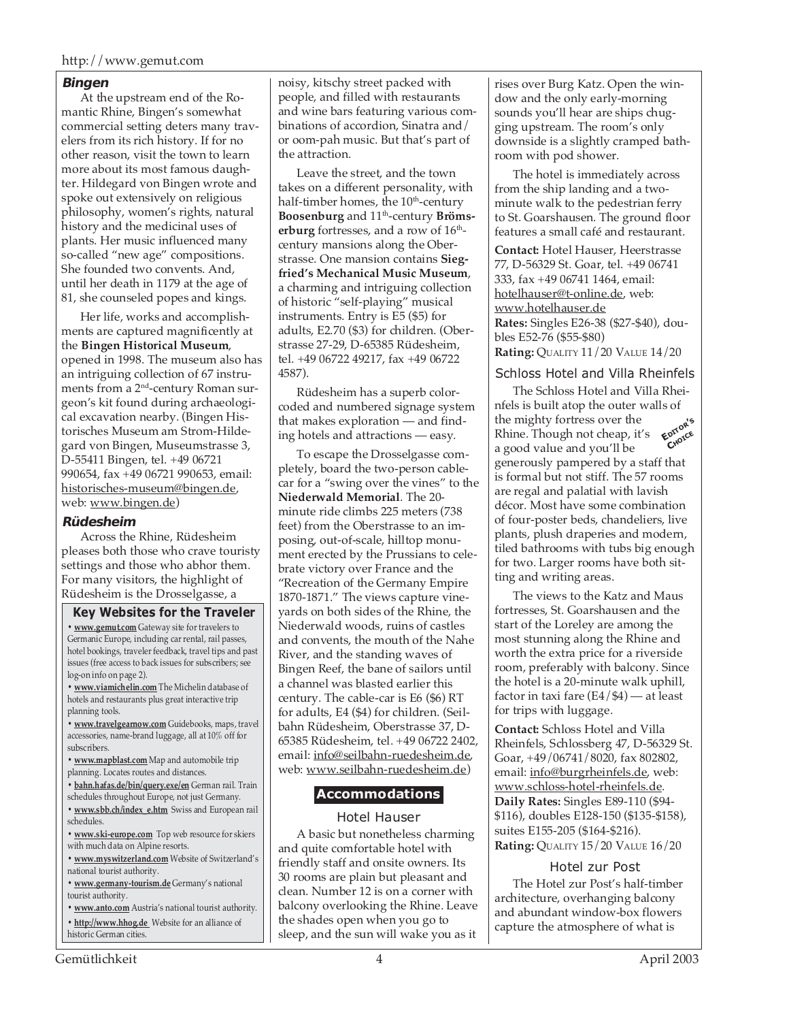#### **Bingen**

At the upstream end of the Romantic Rhine, Bingen's somewhat commercial setting deters many travelers from its rich history. If for no other reason, visit the town to learn more about its most famous daughter. Hildegard von Bingen wrote and spoke out extensively on religious philosophy, women's rights, natural history and the medicinal uses of plants. Her music influenced many so-called "new age" compositions. She founded two convents. And, until her death in 1179 at the age of 81, she counseled popes and kings.

Her life, works and accomplishments are captured magnificently at the **Bingen Historical Museum**, opened in 1998. The museum also has an intriguing collection of 67 instruments from a 2nd-century Roman surgeon's kit found during archaeological excavation nearby. (Bingen Historisches Museum am Strom-Hildegard von Bingen, Museumstrasse 3, D-55411 Bingen, tel. +49 06721 990654, fax +49 06721 990653, email: historisches-museum@bingen.de, web: www.bingen.de)

#### **Rüdesheim**

Across the Rhine, Rüdesheim pleases both those who crave touristy settings and those who abhor them. For many visitors, the highlight of Rüdesheim is the Drosselgasse, a

#### **Key Websites for the Traveler**

**• www.gemut.com** Gateway site for travelers to Germanic Europe, including car rental, rail passes, hotel bookings, traveler feedback, travel tips and past issues (free access to back issues for subscribers; see log-on info on page 2).

**• www.viamichelin.com** The Michelin database of hotels and restaurants plus great interactive trip planning tools.

**• www.travelgearnow.com** Guidebooks, maps, travel accessories, name-brand luggage, all at 10% off for subscribers.

**• www.mapblast.com** Map and automobile trip planning. Locates routes and distances.

**• bahn.hafas.de/bin/query.exe/en** German rail. Train schedules throughout Europe, not just Germany.

**• www.sbb.ch/index\_e.htm** Swiss and European rail schedules.

**• www.ski-europe.com** Top web resource for skiers with much data on Alpine resorts.

**• www.myswitzerland.com** Website of Switzerland's national tourist authority.

**• www.germany-tourism.de** Germany's national tourist authority.

**• www.anto.com** Austria's national tourist authority. **• http://www.hhog.de** Website for an alliance of historic German cities.

noisy, kitschy street packed with people, and filled with restaurants and wine bars featuring various combinations of accordion, Sinatra and/ or oom-pah music. But that's part of the attraction.

Leave the street, and the town takes on a different personality, with half-timber homes, the 10<sup>th</sup>-century **Boosenburg** and 11th-century **Brömserburg** fortresses, and a row of 16<sup>th</sup>century mansions along the Oberstrasse. One mansion contains **Siegfried's Mechanical Music Museum**, a charming and intriguing collection of historic "self-playing" musical instruments. Entry is E5 (\$5) for adults, E2.70 (\$3) for children. (Oberstrasse 27-29, D-65385 Rüdesheim, tel. +49 06722 49217, fax +49 06722 4587).

Rüdesheim has a superb colorcoded and numbered signage system that makes exploration — and finding hotels and attractions — easy.

To escape the Drosselgasse completely, board the two-person cablecar for a "swing over the vines" to the **Niederwald Memorial**. The 20 minute ride climbs 225 meters (738 feet) from the Oberstrasse to an imposing, out-of-scale, hilltop monument erected by the Prussians to celebrate victory over France and the "Recreation of the Germany Empire 1870-1871." The views capture vineyards on both sides of the Rhine, the Niederwald woods, ruins of castles and convents, the mouth of the Nahe River, and the standing waves of Bingen Reef, the bane of sailors until a channel was blasted earlier this century. The cable-car is E6 (\$6) RT for adults, E4 (\$4) for children. (Seilbahn Rüdesheim, Oberstrasse 37, D-65385 Rüdesheim, tel. +49 06722 2402, email: info@seilbahn-ruedesheim.de, web: www.seilbahn-ruedesheim.de)

#### **Accommodations**

#### Hotel Hauser

A basic but nonetheless charming and quite comfortable hotel with friendly staff and onsite owners. Its 30 rooms are plain but pleasant and clean. Number 12 is on a corner with balcony overlooking the Rhine. Leave the shades open when you go to sleep, and the sun will wake you as it

rises over Burg Katz. Open the window and the only early-morning sounds you'll hear are ships chugging upstream. The room's only downside is a slightly cramped bathroom with pod shower.

The hotel is immediately across from the ship landing and a twominute walk to the pedestrian ferry to St. Goarshausen. The ground floor features a small café and restaurant.

**Contact:** Hotel Hauser, Heerstrasse 77, D-56329 St. Goar, tel. +49 06741 333, fax +49 06741 1464, email: hotelhauser@t-online.de, web: www.hotelhauser.de **Rates:** Singles E26-38 (\$27-\$40), doubles E52-76 (\$55-\$80) **Rating:** QUALITY 11/20 VALUE 14/20

#### Schloss Hotel and Villa Rheinfels

The Schloss Hotel and Villa Rheinfels is built atop the outer walls of the mighty fortress over the Rhine. Though not cheap, it's a good value and you'll be generously pampered by a staff that is formal but not stiff. The 57 rooms are regal and palatial with lavish décor. Most have some combination of four-poster beds, chandeliers, live plants, plush draperies and modern, tiled bathrooms with tubs big enough for two. Larger rooms have both sitting and writing areas. **EDITOR'<sup>S</sup> CHOICE**

The views to the Katz and Maus fortresses, St. Goarshausen and the start of the Loreley are among the most stunning along the Rhine and worth the extra price for a riverside room, preferably with balcony. Since the hotel is a 20-minute walk uphill, factor in taxi fare  $(E4/\$4)$  — at least for trips with luggage.

**Contact:** Schloss Hotel and Villa Rheinfels, Schlossberg 47, D-56329 St. Goar, +49/06741/8020, fax 802802, email: info@burgrheinfels.de, web: www.schloss-hotel-rheinfels.de. **Daily Rates:** Singles E89-110 (\$94- \$116), doubles E128-150 (\$135-\$158), suites E155-205 (\$164-\$216). **Rating:** QUALITY 15/20 VALUE 16/20

#### Hotel zur Post

The Hotel zur Post's half-timber architecture, overhanging balcony and abundant window-box flowers capture the atmosphere of what is

Gemütlichkeit 4 April 2003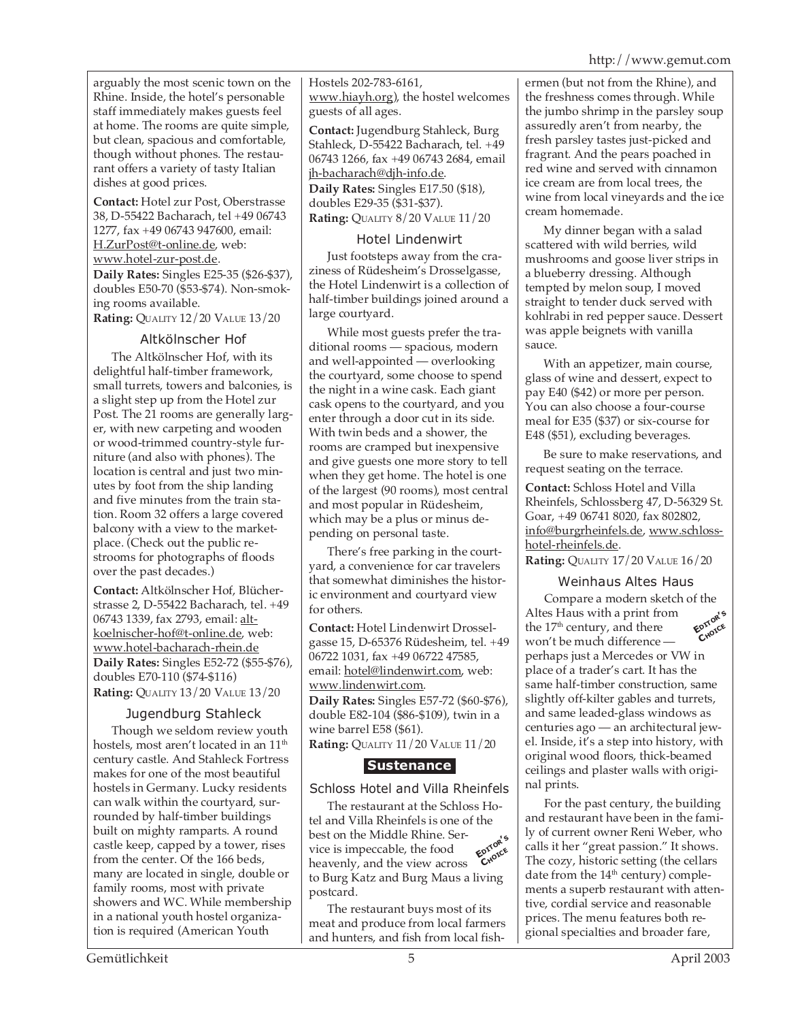arguably the most scenic town on the Rhine. Inside, the hotel's personable staff immediately makes guests feel at home. The rooms are quite simple, but clean, spacious and comfortable, though without phones. The restaurant offers a variety of tasty Italian dishes at good prices.

**Contact:** Hotel zur Post, Oberstrasse 38, D-55422 Bacharach, tel +49 06743 1277, fax +49 06743 947600, email: H.ZurPost@t-online.de, web: www.hotel-zur-post.de. **Daily Rates:** Singles E25-35 (\$26-\$37), doubles E50-70 (\$53-\$74). Non-smoking rooms available.

**Rating:** QUALITY 12/20 VALUE 13/20

#### Altkölnscher Hof

The Altkölnscher Hof, with its delightful half-timber framework, small turrets, towers and balconies, is a slight step up from the Hotel zur Post. The 21 rooms are generally larger, with new carpeting and wooden or wood-trimmed country-style furniture (and also with phones). The location is central and just two minutes by foot from the ship landing and five minutes from the train station. Room 32 offers a large covered balcony with a view to the marketplace. (Check out the public restrooms for photographs of floods over the past decades.)

**Contact:** Altkölnscher Hof, Blücherstrasse 2, D-55422 Bacharach, tel. +49 06743 1339, fax 2793, email: altkoelnischer-hof@t-online.de, web: www.hotel-bacharach-rhein.de **Daily Rates:** Singles E52-72 (\$55-\$76), doubles E70-110 (\$74-\$116) **Rating:** QUALITY 13/20 VALUE 13/20

#### Jugendburg Stahleck

Though we seldom review youth hostels, most aren't located in an 11<sup>th</sup> century castle. And Stahleck Fortress makes for one of the most beautiful hostels in Germany. Lucky residents can walk within the courtyard, surrounded by half-timber buildings built on mighty ramparts. A round castle keep, capped by a tower, rises from the center. Of the 166 beds, many are located in single, double or family rooms, most with private showers and WC. While membership in a national youth hostel organization is required (American Youth

Hostels 202-783-6161, www.hiayh.org), the hostel welcomes guests of all ages.

**Contact:** Jugendburg Stahleck, Burg Stahleck, D-55422 Bacharach, tel. +49 06743 1266, fax +49 06743 2684, email jh-bacharach@djh-info.de. **Daily Rates:** Singles E17.50 (\$18), doubles E29-35 (\$31-\$37). **Rating:** QUALITY 8/20 VALUE 11/20

#### Hotel Lindenwirt

Just footsteps away from the craziness of Rüdesheim's Drosselgasse, the Hotel Lindenwirt is a collection of half-timber buildings joined around a large courtyard.

While most guests prefer the traditional rooms — spacious, modern and well-appointed — overlooking the courtyard, some choose to spend the night in a wine cask. Each giant cask opens to the courtyard, and you enter through a door cut in its side. With twin beds and a shower, the rooms are cramped but inexpensive and give guests one more story to tell when they get home. The hotel is one of the largest (90 rooms), most central and most popular in Rüdesheim, which may be a plus or minus depending on personal taste.

There's free parking in the courtyard, a convenience for car travelers that somewhat diminishes the historic environment and courtyard view for others.

**Contact:** Hotel Lindenwirt Drosselgasse 15, D-65376 Rüdesheim, tel. +49 06722 1031, fax +49 06722 47585, email: hotel@lindenwirt.com, web: www.lindenwirt.com.

**Daily Rates:** Singles E57-72 (\$60-\$76), double E82-104 (\$86-\$109), twin in a wine barrel E58 (\$61). **Rating:** QUALITY 11/20 VALUE 11/20

#### **Sustenance**

#### Schloss Hotel and Villa Rheinfels

The restaurant at the Schloss Hotel and Villa Rheinfels is one of the best on the Middle Rhine. Service is impeccable, the food heavenly, and the view across to Burg Katz and Burg Maus a living postcard. **EDITOR'<sup>S</sup> CHOICE**

The restaurant buys most of its meat and produce from local farmers and hunters, and fish from local fishermen (but not from the Rhine), and the freshness comes through. While the jumbo shrimp in the parsley soup assuredly aren't from nearby, the fresh parsley tastes just-picked and fragrant. And the pears poached in red wine and served with cinnamon ice cream are from local trees, the wine from local vineyards and the ice cream homemade.

My dinner began with a salad scattered with wild berries, wild mushrooms and goose liver strips in a blueberry dressing. Although tempted by melon soup, I moved straight to tender duck served with kohlrabi in red pepper sauce. Dessert was apple beignets with vanilla sauce.

With an appetizer, main course, glass of wine and dessert, expect to pay E40 (\$42) or more per person. You can also choose a four-course meal for E35 (\$37) or six-course for E48 (\$51), excluding beverages.

Be sure to make reservations, and request seating on the terrace.

**Contact:** Schloss Hotel and Villa Rheinfels, Schlossberg 47, D-56329 St. Goar, +49 06741 8020, fax 802802, info@burgrheinfels.de, www.schlosshotel-rheinfels.de.

**Rating:** QUALITY 17/20 VALUE 16/20

#### Weinhaus Altes Haus

Compare a modern sketch of the Altes Haus with a print from the  $17<sup>th</sup>$  century, and there won't be much difference perhaps just a Mercedes or VW in place of a trader's cart. It has the same half-timber construction, same slightly off-kilter gables and turrets, and same leaded-glass windows as centuries ago — an architectural jewel. Inside, it's a step into history, with original wood floors, thick-beamed ceilings and plaster walls with original prints. **EDITOR'<sup>S</sup> CHOICE**

For the past century, the building and restaurant have been in the family of current owner Reni Weber, who calls it her "great passion." It shows. The cozy, historic setting (the cellars date from the  $14<sup>th</sup>$  century) complements a superb restaurant with attentive, cordial service and reasonable prices. The menu features both regional specialties and broader fare,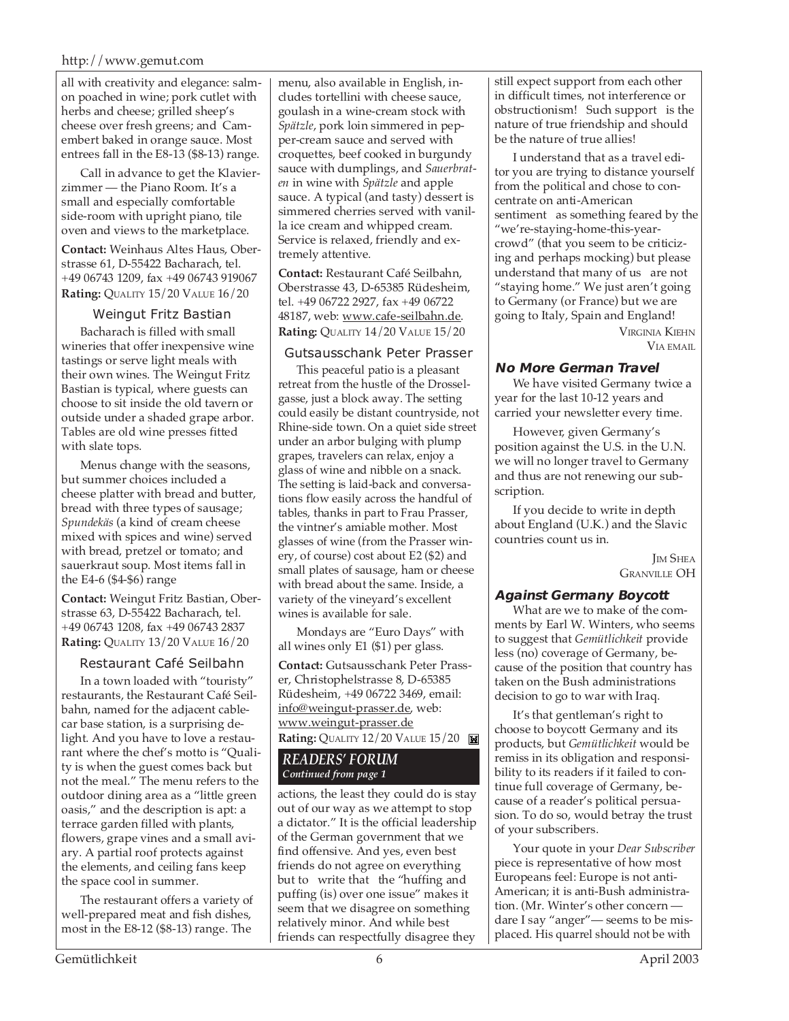#### http://www.gemut.com

all with creativity and elegance: salmon poached in wine; pork cutlet with herbs and cheese; grilled sheep's cheese over fresh greens; and Camembert baked in orange sauce. Most entrees fall in the E8-13 (\$8-13) range.

Call in advance to get the Klavierzimmer — the Piano Room. It's a small and especially comfortable side-room with upright piano, tile oven and views to the marketplace.

**Contact:** Weinhaus Altes Haus, Oberstrasse 61, D-55422 Bacharach, tel. +49 06743 1209, fax +49 06743 919067 **Rating:** QUALITY 15/20 VALUE 16/20

#### Weingut Fritz Bastian

Bacharach is filled with small wineries that offer inexpensive wine tastings or serve light meals with their own wines. The Weingut Fritz Bastian is typical, where guests can choose to sit inside the old tavern or outside under a shaded grape arbor. Tables are old wine presses fitted with slate tops.

Menus change with the seasons, but summer choices included a cheese platter with bread and butter, bread with three types of sausage; *Spundekäs* (a kind of cream cheese mixed with spices and wine) served with bread, pretzel or tomato; and sauerkraut soup. Most items fall in the E4-6 (\$4-\$6) range

**Contact:** Weingut Fritz Bastian, Oberstrasse 63, D-55422 Bacharach, tel. +49 06743 1208, fax +49 06743 2837 **Rating:** QUALITY 13/20 VALUE 16/20

#### Restaurant Café Seilbahn

In a town loaded with "touristy" restaurants, the Restaurant Café Seilbahn, named for the adjacent cablecar base station, is a surprising delight. And you have to love a restaurant where the chef's motto is "Quality is when the guest comes back but not the meal." The menu refers to the outdoor dining area as a "little green oasis," and the description is apt: a terrace garden filled with plants, flowers, grape vines and a small aviary. A partial roof protects against the elements, and ceiling fans keep the space cool in summer.

The restaurant offers a variety of well-prepared meat and fish dishes, most in the E8-12 (\$8-13) range. The

menu, also available in English, includes tortellini with cheese sauce, goulash in a wine-cream stock with *Spätzle*, pork loin simmered in pepper-cream sauce and served with croquettes, beef cooked in burgundy sauce with dumplings, and *Sauerbraten* in wine with *Spätzle* and apple sauce. A typical (and tasty) dessert is simmered cherries served with vanilla ice cream and whipped cream. Service is relaxed, friendly and extremely attentive.

**Contact:** Restaurant Café Seilbahn, Oberstrasse 43, D-65385 Rüdesheim, tel. +49 06722 2927, fax +49 06722 48187, web: www.cafe-seilbahn.de. **Rating:** QUALITY 14/20 VALUE 15/20

#### Gutsausschank Peter Prasser

This peaceful patio is a pleasant retreat from the hustle of the Drosselgasse, just a block away. The setting could easily be distant countryside, not Rhine-side town. On a quiet side street under an arbor bulging with plump grapes, travelers can relax, enjoy a glass of wine and nibble on a snack. The setting is laid-back and conversations flow easily across the handful of tables, thanks in part to Frau Prasser, the vintner's amiable mother. Most glasses of wine (from the Prasser winery, of course) cost about E2 (\$2) and small plates of sausage, ham or cheese with bread about the same. Inside, a variety of the vineyard's excellent wines is available for sale.

Mondays are "Euro Days" with all wines only E1 (\$1) per glass.

**Contact:** Gutsausschank Peter Prasser, Christophelstrasse 8, D-65385 Rüdesheim, +49 06722 3469, email: info@weingut-prasser.de, web: www.weingut-prasser.de **Rating: QUALITY 12/20 VALUE 15/20** 

#### *READERS' FORUM Continued from page 1*

actions, the least they could do is stay out of our way as we attempt to stop a dictator." It is the official leadership of the German government that we find offensive. And yes, even best friends do not agree on everything but to write that the "huffing and puffing (is) over one issue" makes it seem that we disagree on something relatively minor. And while best friends can respectfully disagree they

still expect support from each other in difficult times, not interference or obstructionism! Such support is the nature of true friendship and should be the nature of true allies!

I understand that as a travel editor you are trying to distance yourself from the political and chose to concentrate on anti-American sentiment as something feared by the "we're-staying-home-this-yearcrowd" (that you seem to be criticizing and perhaps mocking) but please understand that many of us are not "staying home." We just aren't going to Germany (or France) but we are going to Italy, Spain and England!

VIRGINIA KIEHN VIA EMAIL

#### **No More German Travel**

We have visited Germany twice a year for the last 10-12 years and carried your newsletter every time.

However, given Germany's position against the U.S. in the U.N. we will no longer travel to Germany and thus are not renewing our subscription.

If you decide to write in depth about England (U.K.) and the Slavic countries count us in.

> **IM SHEA GRANVILLE OH**

#### **Against Germany Boycott**

What are we to make of the comments by Earl W. Winters, who seems to suggest that *Gemütlichkeit* provide less (no) coverage of Germany, because of the position that country has taken on the Bush administrations decision to go to war with Iraq.

It's that gentleman's right to choose to boycott Germany and its products, but *Gemütlichkeit* would be remiss in its obligation and responsibility to its readers if it failed to continue full coverage of Germany, because of a reader's political persuasion. To do so, would betray the trust of your subscribers.

Your quote in your *Dear Subscriber* piece is representative of how most Europeans feel: Europe is not anti-American; it is anti-Bush administration. (Mr. Winter's other concern dare I say "anger"— seems to be misplaced. His quarrel should not be with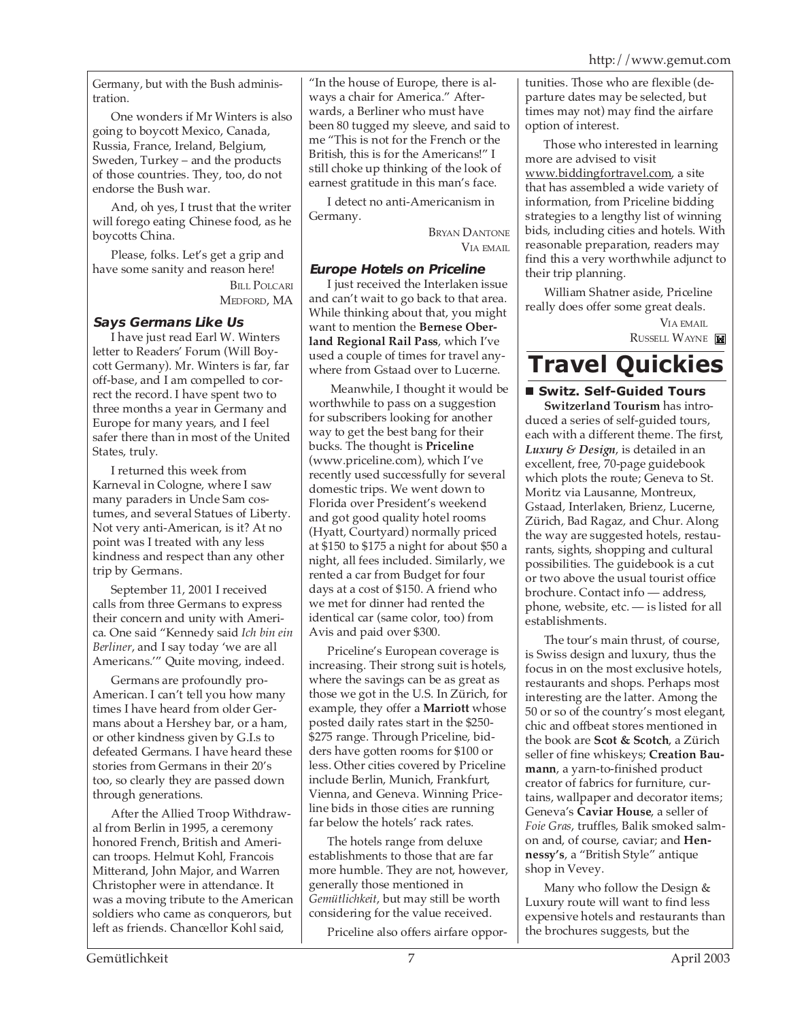Germany, but with the Bush administration.

One wonders if Mr Winters is also going to boycott Mexico, Canada, Russia, France, Ireland, Belgium, Sweden, Turkey – and the products of those countries. They, too, do not endorse the Bush war.

And, oh yes, I trust that the writer will forego eating Chinese food, as he boycotts China.

Please, folks. Let's get a grip and have some sanity and reason here!

BILL POLCARI MEDFORD, MA

#### **Says Germans Like Us**

I have just read Earl W. Winters letter to Readers' Forum (Will Boycott Germany). Mr. Winters is far, far off-base, and I am compelled to correct the record. I have spent two to three months a year in Germany and Europe for many years, and I feel safer there than in most of the United States, truly.

I returned this week from Karneval in Cologne, where I saw many paraders in Uncle Sam costumes, and several Statues of Liberty. Not very anti-American, is it? At no point was I treated with any less kindness and respect than any other trip by Germans.

September 11, 2001 I received calls from three Germans to express their concern and unity with America. One said "Kennedy said *Ich bin ein Berliner*, and I say today 'we are all Americans.'" Quite moving, indeed.

Germans are profoundly pro-American. I can't tell you how many times I have heard from older Germans about a Hershey bar, or a ham, or other kindness given by G.I.s to defeated Germans. I have heard these stories from Germans in their 20's too, so clearly they are passed down through generations.

After the Allied Troop Withdrawal from Berlin in 1995, a ceremony honored French, British and American troops. Helmut Kohl, Francois Mitterand, John Major, and Warren Christopher were in attendance. It was a moving tribute to the American soldiers who came as conquerors, but left as friends. Chancellor Kohl said,

"In the house of Europe, there is always a chair for America." Afterwards, a Berliner who must have been 80 tugged my sleeve, and said to me "This is not for the French or the British, this is for the Americans!" I still choke up thinking of the look of earnest gratitude in this man's face.

I detect no anti-Americanism in Germany.

> BRYAN DANTONE VIA EMAIL

#### **Europe Hotels on Priceline**

I just received the Interlaken issue and can't wait to go back to that area. While thinking about that, you might want to mention the **Bernese Oberland Regional Rail Pass**, which I've used a couple of times for travel anywhere from Gstaad over to Lucerne.

 Meanwhile, I thought it would be worthwhile to pass on a suggestion for subscribers looking for another way to get the best bang for their bucks. The thought is **Priceline** (www.priceline.com), which I've recently used successfully for several domestic trips. We went down to Florida over President's weekend and got good quality hotel rooms (Hyatt, Courtyard) normally priced at \$150 to \$175 a night for about \$50 a night, all fees included. Similarly, we rented a car from Budget for four days at a cost of \$150. A friend who we met for dinner had rented the identical car (same color, too) from Avis and paid over \$300.

Priceline's European coverage is increasing. Their strong suit is hotels, where the savings can be as great as those we got in the U.S. In Zürich, for example, they offer a **Marriott** whose posted daily rates start in the \$250- \$275 range. Through Priceline, bidders have gotten rooms for \$100 or less. Other cities covered by Priceline include Berlin, Munich, Frankfurt, Vienna, and Geneva. Winning Priceline bids in those cities are running far below the hotels' rack rates.

The hotels range from deluxe establishments to those that are far more humble. They are not, however, generally those mentioned in *Gemütlichkeit*, but may still be worth considering for the value received.

Priceline also offers airfare oppor-

tunities. Those who are flexible (departure dates may be selected, but times may not) may find the airfare option of interest.

Those who interested in learning more are advised to visit www.biddingfortravel.com, a site that has assembled a wide variety of information, from Priceline bidding strategies to a lengthy list of winning bids, including cities and hotels. With reasonable preparation, readers may find this a very worthwhile adjunct to their trip planning.

William Shatner aside, Priceline really does offer some great deals.

> VIA EMAIL RUSSELL WAYNE

## **Travel Quickies**

 **Switz. Self-Guided Tours**

**Switzerland Tourism** has introduced a series of self-guided tours, each with a different theme. The first, *Luxury & Design*, is detailed in an excellent, free, 70-page guidebook which plots the route; Geneva to St. Moritz via Lausanne, Montreux, Gstaad, Interlaken, Brienz, Lucerne, Zürich, Bad Ragaz, and Chur. Along the way are suggested hotels, restaurants, sights, shopping and cultural possibilities. The guidebook is a cut or two above the usual tourist office brochure. Contact info — address, phone, website, etc. — is listed for all establishments.

The tour's main thrust, of course, is Swiss design and luxury, thus the focus in on the most exclusive hotels, restaurants and shops. Perhaps most interesting are the latter. Among the 50 or so of the country's most elegant, chic and offbeat stores mentioned in the book are **Scot & Scotch**, a Zürich seller of fine whiskeys; **Creation Baumann**, a yarn-to-finished product creator of fabrics for furniture, curtains, wallpaper and decorator items; Geneva's **Caviar House**, a seller of *Foie Gras*, truffles, Balik smoked salmon and, of course, caviar; and **Hennessy's**, a "British Style" antique shop in Vevey.

Many who follow the Design & Luxury route will want to find less expensive hotels and restaurants than the brochures suggests, but the